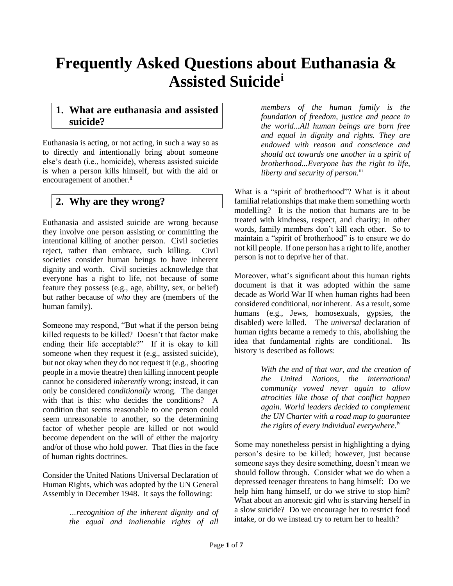# **Frequently Asked Questions about Euthanasia & Assisted Suicide<sup>i</sup>**

### **1. What are euthanasia and assisted suicide?**

Euthanasia is acting, or not acting, in such a way so as to directly and intentionally bring about someone else's death (i.e., homicide), whereas assisted suicide is when a person kills himself, but with the aid or encouragement of another.<sup>ii</sup>

# **2. Why are they wrong?**

Euthanasia and assisted suicide are wrong because they involve one person assisting or committing the intentional killing of another person. Civil societies reject, rather than embrace, such killing. Civil societies consider human beings to have inherent dignity and worth. Civil societies acknowledge that everyone has a right to life, not because of some feature they possess (e.g., age, ability, sex, or belief) but rather because of *who* they are (members of the human family).

Someone may respond, "But what if the person being killed requests to be killed? Doesn't that factor make ending their life acceptable?" If it is okay to kill someone when they request it (e.g., assisted suicide), but not okay when they do not request it (e.g., shooting people in a movie theatre) then killing innocent people cannot be considered *inherently* wrong; instead, it can only be considered *conditionally* wrong. The danger with that is this: who decides the conditions? A condition that seems reasonable to one person could seem unreasonable to another, so the determining factor of whether people are killed or not would become dependent on the will of either the majority and/or of those who hold power. That flies in the face of human rights doctrines.

Consider the United Nations Universal Declaration of Human Rights, which was adopted by the UN General Assembly in December 1948. It says the following:

> *…recognition of the inherent dignity and of the equal and inalienable rights of all*

*members of the human family is the foundation of freedom, justice and peace in the world...All human beings are born free and equal in dignity and rights. They are endowed with reason and conscience and should act towards one another in a spirit of brotherhood...Everyone has the right to life, liberty and security of person.*iii

What is a "spirit of brotherhood"? What is it about familial relationships that make them something worth modelling? It is the notion that humans are to be treated with kindness, respect, and charity; in other words, family members don't kill each other. So to maintain a "spirit of brotherhood" is to ensure we do not kill people. If one person has a right to life, another person is not to deprive her of that.

Moreover, what's significant about this human rights document is that it was adopted within the same decade as World War II when human rights had been considered conditional, *not* inherent. As a result, some humans (e.g., Jews, homosexuals, gypsies, the disabled) were killed. The *universal* declaration of human rights became a remedy to this, abolishing the idea that fundamental rights are conditional. Its history is described as follows:

> *With the end of that war, and the creation of the United Nations, the international community vowed never again to allow atrocities like those of that conflict happen again. World leaders decided to complement the UN Charter with a road map to guarantee the rights of every individual everywhere.iv*

Some may nonetheless persist in highlighting a dying person's desire to be killed; however, just because someone says they desire something, doesn't mean we should follow through. Consider what we do when a depressed teenager threatens to hang himself: Do we help him hang himself, or do we strive to stop him? What about an anorexic girl who is starving herself in a slow suicide? Do we encourage her to restrict food intake, or do we instead try to return her to health?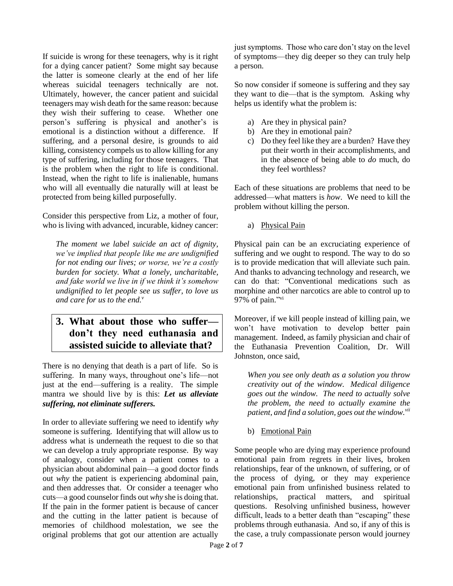If suicide is wrong for these teenagers, why is it right for a dying cancer patient? Some might say because the latter is someone clearly at the end of her life whereas suicidal teenagers technically are not. Ultimately, however, the cancer patient and suicidal teenagers may wish death for the same reason: because they wish their suffering to cease. Whether one person's suffering is physical and another's is emotional is a distinction without a difference. If suffering, and a personal desire, is grounds to aid killing, consistency compels us to allow killing for any type of suffering, including for those teenagers. That is the problem when the right to life is conditional. Instead, when the right to life is inalienable, humans who will all eventually die naturally will at least be protected from being killed purposefully.

Consider this perspective from Liz, a mother of four, who is living with advanced, incurable, kidney cancer:

*The moment we label suicide an act of dignity, we've implied that people like me are undignified for not ending our lives; or worse, we're a costly burden for society. What a lonely, uncharitable, and fake world we live in if we think it's somehow undignified to let people see us suffer, to love us and care for us to the end.<sup>v</sup>*

## **3. What about those who suffer don't they need euthanasia and assisted suicide to alleviate that?**

There is no denying that death is a part of life. So is suffering. In many ways, throughout one's life—not just at the end—suffering is a reality. The simple mantra we should live by is this: *Let us alleviate suffering, not eliminate sufferers.* 

In order to alleviate suffering we need to identify *why*  someone is suffering. Identifying that will allow us to address what is underneath the request to die so that we can develop a truly appropriate response. By way of analogy, consider when a patient comes to a physician about abdominal pain—a good doctor finds out *why* the patient is experiencing abdominal pain, and then addresses that. Or consider a teenager who cuts—a good counselor finds out *why* she is doing that. If the pain in the former patient is because of cancer and the cutting in the latter patient is because of memories of childhood molestation, we see the original problems that got our attention are actually just symptoms. Those who care don't stay on the level of symptoms—they dig deeper so they can truly help a person.

So now consider if someone is suffering and they say they want to die—that is the symptom. Asking why helps us identify what the problem is:

- a) Are they in physical pain?
- b) Are they in emotional pain?
- c) Do they feel like they are a burden? Have they put their worth in their accomplishments, and in the absence of being able to *do* much, do they feel worthless?

Each of these situations are problems that need to be addressed—what matters is *how*. We need to kill the problem without killing the person.

a) Physical Pain

Physical pain can be an excruciating experience of suffering and we ought to respond. The way to do so is to provide medication that will alleviate such pain. And thanks to advancing technology and research, we can do that: "Conventional medications such as morphine and other narcotics are able to control up to 97% of pain."<sup>vi</sup>

Moreover, if we kill people instead of killing pain, we won't have motivation to develop better pain management. Indeed, as family physician and chair of the Euthanasia Prevention Coalition, Dr. Will Johnston, once said,

*When you see only death as a solution you throw creativity out of the window. Medical diligence goes out the window. The need to actually solve the problem, the need to actually examine the patient, and find a solution, goes out the window.vii*

b) Emotional Pain

Some people who are dying may experience profound emotional pain from regrets in their lives, broken relationships, fear of the unknown, of suffering, or of the process of dying, or they may experience emotional pain from unfinished business related to relationships, practical matters, and spiritual questions. Resolving unfinished business, however difficult, leads to a better death than "escaping" these problems through euthanasia. And so, if any of this is the case, a truly compassionate person would journey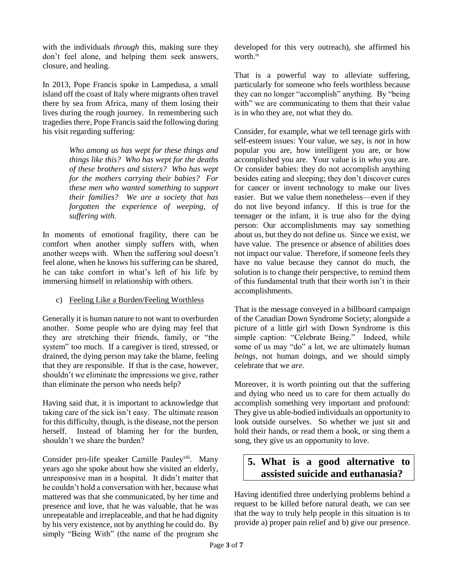with the individuals *through* this, making sure they don't feel alone, and helping them seek answers, closure, and healing.

In 2013, Pope Francis spoke in Lampedusa, a small island off the coast of Italy where migrants often travel there by sea from Africa, many of them losing their lives during the rough journey. In remembering such tragedies there, Pope Francis said the following during his visit regarding suffering:

> *Who among us has wept for these things and things like this? Who has wept for the deaths of these brothers and sisters? Who has wept for the mothers carrying their babies? For these men who wanted something to support their families? We are a society that has forgotten the experience of weeping, of suffering with.*

In moments of emotional fragility, there can be comfort when another simply suffers with, when another weeps with. When the suffering soul doesn't feel alone, when he knows his suffering can be shared, he can take comfort in what's left of his life by immersing himself in relationship with others.

#### c) Feeling Like a Burden/Feeling Worthless

Generally it is human nature to not want to overburden another. Some people who are dying may feel that they are stretching their friends, family, or "the system" too much. If a caregiver is tired, stressed, or drained, the dying person may take the blame, feeling that they are responsible. If that is the case, however, shouldn't we eliminate the impressions we give, rather than eliminate the person who needs help?

Having said that, it is important to acknowledge that taking care of the sick isn't easy. The ultimate reason for this difficulty, though, is the disease, not the person herself. Instead of blaming her for the burden, shouldn't we share the burden?

Consider pro-life speaker Camille Pauley<sup>viii</sup>. Many years ago she spoke about how she visited an elderly, unresponsive man in a hospital. It didn't matter that he couldn't hold a conversation with her, because what mattered was that she communicated, by her time and presence and love, that he was valuable, that he was unrepeatable and irreplaceable, and that he had dignity by his very existence, not by anything he could do. By simply "Being With" (the name of the program she developed for this very outreach), she affirmed his worth.<sup>ix</sup>

That is a powerful way to alleviate suffering, particularly for someone who feels worthless because they can no longer "accomplish" anything. By "being with" we are communicating to them that their value is in who they are, not what they do.

Consider, for example, what we tell teenage girls with self-esteem issues: Your value, we say, is *not* in how popular you are, how intelligent you are, or how accomplished you are. Your value is in *who* you are. Or consider babies: they do not accomplish anything besides eating and sleeping; they don't discover cures for cancer or invent technology to make our lives easier. But we value them nonetheless—even if they do not live beyond infancy. If this is true for the teenager or the infant, it is true also for the dying person: Our accomplishments may say something about us, but they do not define us. Since we exist, we have value. The presence or absence of abilities does not impact our value. Therefore, if someone feels they have no value because they cannot do much, the solution is to change their perspective, to remind them of this fundamental truth that their worth isn't in their accomplishments.

That is the message conveyed in a billboard campaign of the Canadian Down Syndrome Society; alongside a picture of a little girl with Down Syndrome is this simple caption: "Celebrate Being." Indeed, while some of us may "do" a lot, we are ultimately human *beings*, not human doings, and we should simply celebrate that we *are*.

Moreover, it is worth pointing out that the suffering and dying who need us to care for them actually do accomplish something very important and profound: They give us able-bodied individuals an opportunity to look outside ourselves. So whether we just sit and hold their hands, or read them a book, or sing them a song, they give us an opportunity to love.

## **5. What is a good alternative to assisted suicide and euthanasia?**

Having identified three underlying problems behind a request to be killed before natural death, we can see that the way to truly help people in this situation is to provide a) proper pain relief and b) give our presence.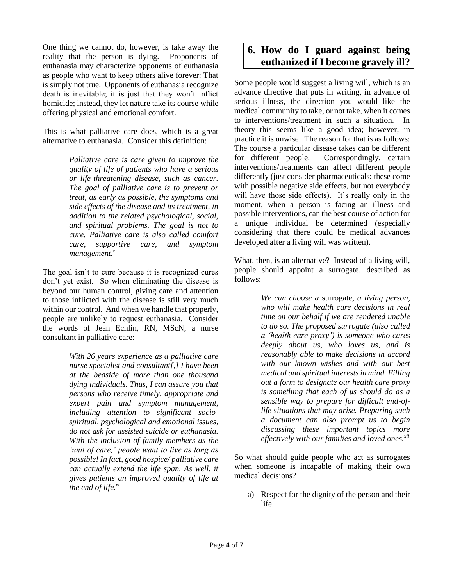One thing we cannot do, however, is take away the reality that the person is dying. Proponents of euthanasia may characterize opponents of euthanasia as people who want to keep others alive forever: That is simply not true. Opponents of euthanasia recognize death is inevitable; it is just that they won't inflict homicide; instead, they let nature take its course while offering physical and emotional comfort.

This is what palliative care does, which is a great alternative to euthanasia. Consider this definition:

> *Palliative care is care given to improve the quality of life of patients who have a serious or life-threatening disease, such as cancer. The goal of palliative care is to prevent or treat, as early as possible, the symptoms and side effects of the disease and its treatment, in addition to the related psychological, social, and spiritual problems. The goal is not to cure. Palliative care is also called comfort care, supportive care, and symptom management.<sup>x</sup>*

The goal isn't to cure because it is recognized cures don't yet exist. So when eliminating the disease is beyond our human control, giving care and attention to those inflicted with the disease is still very much within our control. And when we handle that properly, people are unlikely to request euthanasia. Consider the words of Jean Echlin, RN, MScN, a nurse consultant in palliative care:

> *With 26 years experience as a palliative care nurse specialist and consultant[,] I have been at the bedside of more than one thousand dying individuals. Thus, I can assure you that persons who receive timely, appropriate and expert pain and symptom management, including attention to significant sociospiritual, psychological and emotional issues, do not ask for assisted suicide or euthanasia. With the inclusion of family members as the 'unit of care,' people want to live as long as possible! In fact, good hospice/ palliative care can actually extend the life span. As well, it gives patients an improved quality of life at the end of life.xi*

# **6. How do I guard against being euthanized if I become gravely ill?**

Some people would suggest a living will, which is an advance directive that puts in writing, in advance of serious illness, the direction you would like the medical community to take, or not take, when it comes to interventions/treatment in such a situation. In theory this seems like a good idea; however, in practice it is unwise. The reason for that is as follows: The course a particular disease takes can be different for different people. Correspondingly, certain interventions/treatments can affect different people differently (just consider pharmaceuticals: these come with possible negative side effects, but not everybody will have those side effects). It's really only in the moment, when a person is facing an illness and possible interventions, can the best course of action for a unique individual be determined (especially considering that there could be medical advances developed after a living will was written).

What, then, is an alternative? Instead of a living will, people should appoint a surrogate, described as follows:

> *We can choose a* surrogate*, a living person, who will make health care decisions in real time on our behalf if we are rendered unable to do so. The proposed surrogate (also called a 'health care proxy') is someone who cares deeply about us, who loves us, and is reasonably able to make decisions in accord with our known wishes and with our best medical and spiritual interests in mind. Filling out a form to designate our health care proxy is something that each of us should do as a sensible way to prepare for difficult end-oflife situations that may arise. Preparing such a document can also prompt us to begin discussing these important topics more effectively with our families and loved ones.xii*

So what should guide people who act as surrogates when someone is incapable of making their own medical decisions?

a) Respect for the dignity of the person and their life.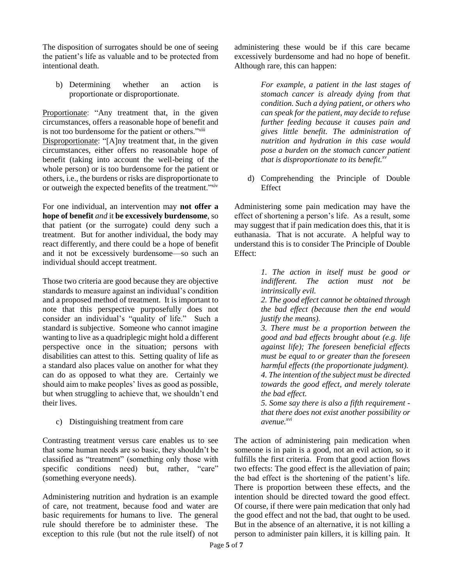The disposition of surrogates should be one of seeing the patient's life as valuable and to be protected from intentional death.

b) Determining whether an action is proportionate or disproportionate.

Proportionate: "Any treatment that, in the given circumstances, offers a reasonable hope of benefit and is not too burdensome for the patient or others."<sup>xiii</sup> Disproportionate: "[A]ny treatment that, in the given circumstances, either offers no reasonable hope of benefit (taking into account the well-being of the whole person) or is too burdensome for the patient or others, i.e., the burdens or risks are disproportionate to or outweigh the expected benefits of the treatment."xiv

For one individual, an intervention may **not offer a hope of benefit** *and* it **be excessively burdensome**, so that patient (or the surrogate) could deny such a treatment. But for another individual, the body may react differently, and there could be a hope of benefit and it not be excessively burdensome—so such an individual should accept treatment.

Those two criteria are good because they are objective standards to measure against an individual's condition and a proposed method of treatment. It is important to note that this perspective purposefully does not consider an individual's "quality of life." Such a standard is subjective. Someone who cannot imagine wanting to live as a quadriplegic might hold a different perspective once in the situation; persons with disabilities can attest to this. Setting quality of life as a standard also places value on another for what they can do as opposed to what they are. Certainly we should aim to make peoples' lives as good as possible, but when struggling to achieve that, we shouldn't end their lives.

c) Distinguishing treatment from care

Contrasting treatment versus care enables us to see that some human needs are so basic, they shouldn't be classified as "treatment" (something only those with specific conditions need) but, rather, "care" (something everyone needs).

Administering nutrition and hydration is an example of care, not treatment, because food and water are basic requirements for humans to live. The general rule should therefore be to administer these. The exception to this rule (but not the rule itself) of not administering these would be if this care became excessively burdensome and had no hope of benefit. Although rare, this can happen:

> *For example, a patient in the last stages of stomach cancer is already dying from that condition. Such a dying patient, or others who can speak for the patient, may decide to refuse further feeding because it causes pain and gives little benefit. The administration of nutrition and hydration in this case would pose a burden on the stomach cancer patient that is disproportionate to its benefit.xv*

d) Comprehending the Principle of Double Effect

Administering some pain medication may have the effect of shortening a person's life. As a result, some may suggest that if pain medication does this, that it is euthanasia. That is not accurate. A helpful way to understand this is to consider The Principle of Double Effect:

> *1. The action in itself must be good or indifferent. The action must not be intrinsically evil.*

> *2. The good effect cannot be obtained through the bad effect (because then the end would justify the means).*

> *3. There must be a proportion between the good and bad effects brought about (e.g. life against life); The foreseen beneficial effects must be equal to or greater than the foreseen harmful effects (the proportionate judgment). 4. The intention of the subject must be directed towards the good effect, and merely tolerate the bad effect.*

> *5. Some say there is also a fifth requirement that there does not exist another possibility or avenue. xvi*

The action of administering pain medication when someone is in pain is a good, not an evil action, so it fulfills the first criteria. From that good action flows two effects: The good effect is the alleviation of pain; the bad effect is the shortening of the patient's life. There is proportion between these effects, and the intention should be directed toward the good effect. Of course, if there were pain medication that only had the good effect and not the bad, that ought to be used. But in the absence of an alternative, it is not killing a person to administer pain killers, it is killing pain. It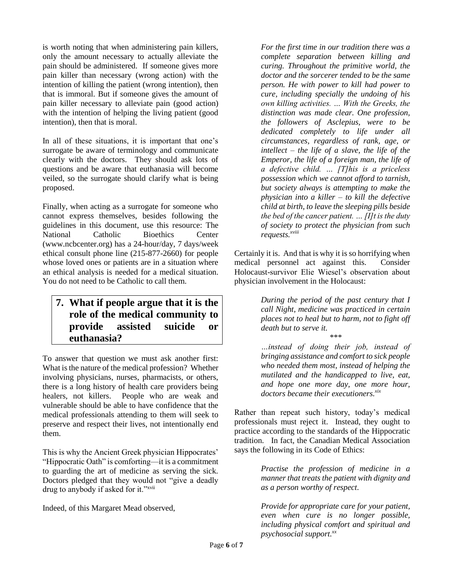is worth noting that when administering pain killers, only the amount necessary to actually alleviate the pain should be administered. If someone gives more pain killer than necessary (wrong action) with the intention of killing the patient (wrong intention), then that is immoral. But if someone gives the amount of pain killer necessary to alleviate pain (good action) with the intention of helping the living patient (good) intention), then that is moral.

In all of these situations, it is important that one's surrogate be aware of terminology and communicate clearly with the doctors. They should ask lots of questions and be aware that euthanasia will become veiled, so the surrogate should clarify what is being proposed.

Finally, when acting as a surrogate for someone who cannot express themselves, besides following the guidelines in this document, use this resource: The National Catholic Bioethics Center (www.ncbcenter.org) has a 24-hour/day, 7 days/week ethical consult phone line (215-877-2660) for people whose loved ones or patients are in a situation where an ethical analysis is needed for a medical situation. You do not need to be Catholic to call them.

# **7. What if people argue that it is the role of the medical community to provide assisted suicide or euthanasia?**

To answer that question we must ask another first: What is the nature of the medical profession? Whether involving physicians, nurses, pharmacists, or others, there is a long history of health care providers being healers, not killers. People who are weak and vulnerable should be able to have confidence that the medical professionals attending to them will seek to preserve and respect their lives, not intentionally end them.

This is why the Ancient Greek physician Hippocrates' "Hippocratic Oath" is comforting—it is a commitment to guarding the art of medicine as serving the sick. Doctors pledged that they would not "give a deadly drug to anybody if asked for it."<sup>xvii</sup>

Indeed, of this Margaret Mead observed,

*For the first time in our tradition there was a complete separation between killing and curing. Throughout the primitive world, the doctor and the sorcerer tended to be the same person. He with power to kill had power to cure, including specially the undoing of his own killing activities. … With the Greeks, the distinction was made clear. One profession, the followers of Asclepius, were to be dedicated completely to life under all circumstances, regardless of rank, age, or intellect – the life of a slave, the life of the Emperor, the life of a foreign man, the life of a defective child. … [T]his is a priceless possession which we cannot afford to tarnish, but society always is attempting to make the physician into a killer – to kill the defective child at birth, to leave the sleeping pills beside the bed of the cancer patient. … [I]t is the duty of society to protect the physician from such requests.xviii*

Certainly it is. And that is why it is so horrifying when medical personnel act against this. Consider Holocaust-survivor Elie Wiesel's observation about physician involvement in the Holocaust:

> *During the period of the past century that I call Night, medicine was practiced in certain places not to heal but to harm, not to fight off death but to serve it. \*\*\**

> *…instead of doing their job, instead of bringing assistance and comfort to sick people who needed them most, instead of helping the mutilated and the handicapped to live, eat, and hope one more day, one more hour, doctors became their executioners. xix*

Rather than repeat such history, today's medical professionals must reject it. Instead, they ought to practice according to the standards of the Hippocratic tradition. In fact, the Canadian Medical Association says the following in its Code of Ethics:

> *Practise the profession of medicine in a manner that treats the patient with dignity and as a person worthy of respect.*

> *Provide for appropriate care for your patient, even when cure is no longer possible, including physical comfort and spiritual and psychosocial support.xx*